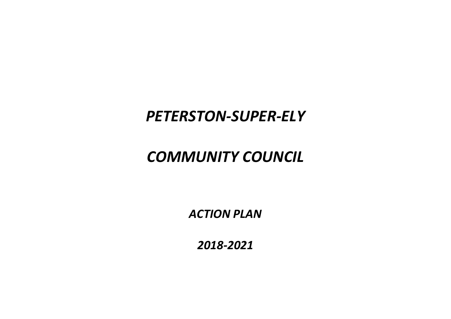# *PETERSTON-SUPER-ELY*

# *COMMUNITY COUNCIL*

*ACTION PLAN*

*2018-2021*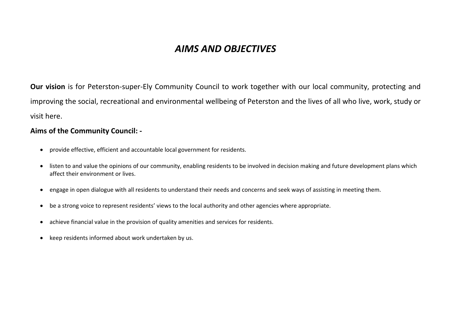## *AIMS AND OBJECTIVES*

**Our vision** is for Peterston-super-Ely Community Council to work together with our local community, protecting and improving the social, recreational and environmental wellbeing of Peterston and the lives of all who live, work, study or visit here.

#### **Aims of the Community Council: -**

- provide effective, efficient and accountable local government for residents.
- listen to and value the opinions of our community, enabling residents to be involved in decision making and future development plans which affect their environment or lives.
- engage in open dialogue with all residents to understand their needs and concerns and seek ways of assisting in meeting them.
- be a strong voice to represent residents' views to the local authority and other agencies where appropriate.
- achieve financial value in the provision of quality amenities and services for residents.
- keep residents informed about work undertaken by us.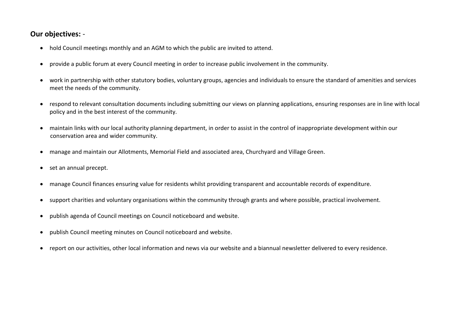### **Our objectives:** -

- hold Council meetings monthly and an AGM to which the public are invited to attend.
- provide a public forum at every Council meeting in order to increase public involvement in the community.
- work in partnership with other statutory bodies, voluntary groups, agencies and individuals to ensure the standard of amenities and services meet the needs of the community.
- respond to relevant consultation documents including submitting our views on planning applications, ensuring responses are in line with local policy and in the best interest of the community.
- maintain links with our local authority planning department, in order to assist in the control of inappropriate development within our conservation area and wider community.
- manage and maintain our Allotments, Memorial Field and associated area, Churchyard and Village Green.
- set an annual precept.
- manage Council finances ensuring value for residents whilst providing transparent and accountable records of expenditure.
- support charities and voluntary organisations within the community through grants and where possible, practical involvement.
- publish agenda of Council meetings on Council noticeboard and website.
- publish Council meeting minutes on Council noticeboard and website.
- report on our activities, other local information and news via our website and a biannual newsletter delivered to every residence.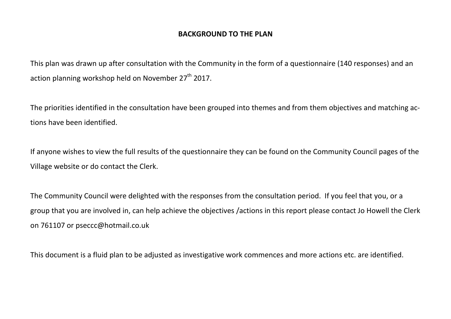### **BACKGROUND TO THE PLAN**

This plan was drawn up after consultation with the Community in the form of a questionnaire (140 responses) and an action planning workshop held on November  $27<sup>th</sup>$  2017.

The priorities identified in the consultation have been grouped into themes and from them objectives and matching actions have been identified.

If anyone wishes to view the full results of the questionnaire they can be found on the Community Council pages of the Village website or do contact the Clerk.

The Community Council were delighted with the responses from the consultation period. If you feel that you, or a group that you are involved in, can help achieve the objectives /actions in this report please contact Jo Howell the Clerk on 761107 or [pseccc@hotmail.co.uk](mailto:pseccc@hotmail.co.uk)

This document is a fluid plan to be adjusted as investigative work commences and more actions etc. are identified.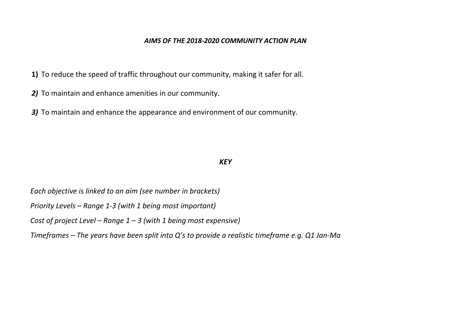#### *AIMS OF THE 2018-2020 COMMUNITY ACTION PLAN*

**1)** To reduce the speed of traffic throughout our community, making it safer for all.

*2)* To maintain and enhance amenities in our community.

*3)* To maintain and enhance the appearance and environment of our community.

#### *KEY*

*Each objective is linked to an aim (see number in brackets)*

*Priority Levels – Range 1-3 (with 1 being most important)*

*Cost of project Level – Range 1 – 3 (with 1 being most expensive)*

*Timeframes – The years have been split into Q's to provide a realistic timeframe e.g. Q1 Jan-Ma*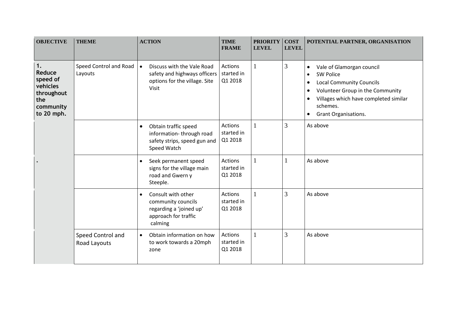| <b>OBJECTIVE</b>                                                                     | <b>THEME</b>                      | <b>ACTION</b>                                                                                                       | <b>TIME</b><br><b>FRAME</b>             | <b>PRIORITY</b><br><b>LEVEL</b> | <b>COST</b><br><b>LEVEL</b> | POTENTIAL PARTNER, ORGANISATION                                                                                                                                                                                                          |
|--------------------------------------------------------------------------------------|-----------------------------------|---------------------------------------------------------------------------------------------------------------------|-----------------------------------------|---------------------------------|-----------------------------|------------------------------------------------------------------------------------------------------------------------------------------------------------------------------------------------------------------------------------------|
| 1.<br>Reduce<br>speed of<br>vehicles<br>throughout<br>the<br>community<br>to 20 mph. | Speed Control and Road<br>Layouts | Discuss with the Vale Road<br>safety and highways officers<br>options for the village. Site<br>Visit                | <b>Actions</b><br>started in<br>Q1 2018 |                                 | 3                           | Vale of Glamorgan council<br><b>SW Police</b><br>$\bullet$<br><b>Local Community Councils</b><br>$\bullet$<br>Volunteer Group in the Community<br>$\bullet$<br>Villages which have completed similar<br>schemes.<br>Grant Organisations. |
|                                                                                      |                                   | Obtain traffic speed<br>$\bullet$<br>information-through road<br>safety strips, speed gun and<br>Speed Watch        | Actions<br>started in<br>Q1 2018        |                                 | 3                           | As above                                                                                                                                                                                                                                 |
|                                                                                      |                                   | Seek permanent speed<br>$\bullet$<br>signs for the village main<br>road and Gwern y<br>Steeple.                     | <b>Actions</b><br>started in<br>Q1 2018 |                                 |                             | As above                                                                                                                                                                                                                                 |
|                                                                                      |                                   | Consult with other<br>$\bullet$<br>community councils<br>regarding a 'joined up'<br>approach for traffic<br>calming | Actions<br>started in<br>Q1 2018        |                                 | 3                           | As above                                                                                                                                                                                                                                 |
|                                                                                      | Speed Control and<br>Road Layouts | Obtain information on how<br>$\bullet$<br>to work towards a 20mph<br>zone                                           | <b>Actions</b><br>started in<br>Q1 2018 |                                 | 3                           | As above                                                                                                                                                                                                                                 |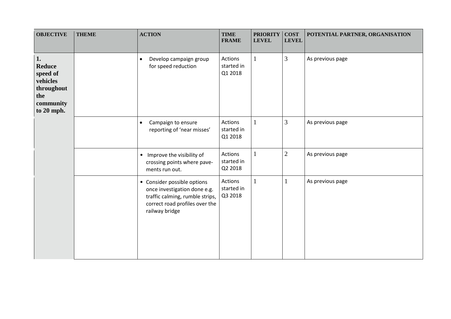| <b>OBJECTIVE</b>                                                                     | <b>THEME</b> | <b>ACTION</b>                                                                                                                                      | <b>TIME</b><br><b>FRAME</b>      | <b>PRIORITY</b><br><b>LEVEL</b> | <b>COST</b><br><b>LEVEL</b> | POTENTIAL PARTNER, ORGANISATION |
|--------------------------------------------------------------------------------------|--------------|----------------------------------------------------------------------------------------------------------------------------------------------------|----------------------------------|---------------------------------|-----------------------------|---------------------------------|
| 1.<br>Reduce<br>speed of<br>vehicles<br>throughout<br>the<br>community<br>to 20 mph. |              | Develop campaign group<br>$\bullet$<br>for speed reduction                                                                                         | Actions<br>started in<br>Q1 2018 |                                 | 3                           | As previous page                |
|                                                                                      |              | Campaign to ensure<br>$\bullet$<br>reporting of 'near misses'                                                                                      | Actions<br>started in<br>Q1 2018 | 1                               | $\overline{3}$              | As previous page                |
|                                                                                      |              | Improve the visibility of<br>$\bullet$<br>crossing points where pave-<br>ments run out.                                                            | Actions<br>started in<br>Q2 2018 | 1                               | $\overline{2}$              | As previous page                |
|                                                                                      |              | • Consider possible options<br>once investigation done e.g.<br>traffic calming, rumble strips,<br>correct road profiles over the<br>railway bridge | Actions<br>started in<br>Q3 2018 | 1                               | 1                           | As previous page                |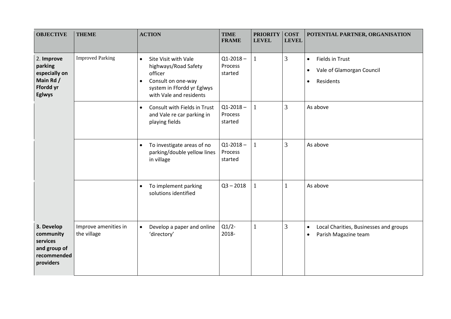| <b>OBJECTIVE</b>                                                                  | <b>THEME</b>                        | <b>ACTION</b>                                                                                                                                                    | <b>TIME</b><br><b>FRAME</b>         | <b>PRIORITY</b><br><b>LEVEL</b> | <b>COST</b><br><b>LEVEL</b> | POTENTIAL PARTNER, ORGANISATION                                                                  |
|-----------------------------------------------------------------------------------|-------------------------------------|------------------------------------------------------------------------------------------------------------------------------------------------------------------|-------------------------------------|---------------------------------|-----------------------------|--------------------------------------------------------------------------------------------------|
| 2. Improve<br>parking<br>especially on<br>Main Rd /<br>Ffordd yr<br><b>Eglwys</b> | <b>Improved Parking</b>             | Site Visit with Vale<br>$\bullet$<br>highways/Road Safety<br>officer<br>Consult on one-way<br>$\bullet$<br>system in Ffordd yr Eglwys<br>with Vale and residents | $Q1 - 2018 -$<br>Process<br>started |                                 | $\overline{3}$              | Fields in Trust<br>$\bullet$<br>Vale of Glamorgan Council<br>$\bullet$<br>Residents<br>$\bullet$ |
|                                                                                   |                                     | Consult with Fields in Trust<br>$\bullet$<br>and Vale re car parking in<br>playing fields                                                                        | $Q1 - 2018 -$<br>Process<br>started | $\mathbf{1}$                    | 3                           | As above                                                                                         |
|                                                                                   |                                     | To investigate areas of no<br>$\bullet$<br>parking/double yellow lines<br>in village                                                                             | $Q1 - 2018 -$<br>Process<br>started |                                 | 3                           | As above                                                                                         |
|                                                                                   |                                     | To implement parking<br>$\bullet$<br>solutions identified                                                                                                        | $Q3 - 2018$                         | $\mathbf{1}$                    | $\mathbf{1}$                | As above                                                                                         |
| 3. Develop<br>community<br>services<br>and group of<br>recommended<br>providers   | Improve amenities in<br>the village | Develop a paper and online<br>$\bullet$<br>'directory'                                                                                                           | $Q1/2$ -<br>2018-                   | $\mathbf{1}$                    | 3                           | Local Charities, Businesses and groups<br>$\bullet$<br>Parish Magazine team<br>$\bullet$         |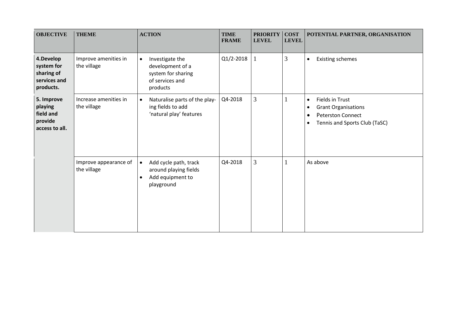| <b>OBJECTIVE</b>                                                   | <b>THEME</b>                         | <b>ACTION</b>                                                                                              | <b>TIME</b><br><b>FRAME</b> | <b>PRIORITY</b><br><b>LEVEL</b> | <b>COST</b><br><b>LEVEL</b> | POTENTIAL PARTNER, ORGANISATION                                                                                                                        |
|--------------------------------------------------------------------|--------------------------------------|------------------------------------------------------------------------------------------------------------|-----------------------------|---------------------------------|-----------------------------|--------------------------------------------------------------------------------------------------------------------------------------------------------|
| 4.Develop<br>system for<br>sharing of<br>services and<br>products. | Improve amenities in<br>the village  | Investigate the<br>$\bullet$<br>development of a<br>system for sharing<br>of services and<br>products      | Q1/2-2018                   | $\mathbf{1}$                    | 3                           | <b>Existing schemes</b><br>$\bullet$                                                                                                                   |
| 5. Improve<br>playing<br>field and<br>provide<br>access to all.    | Increase amenities in<br>the village | Naturalise parts of the play-<br>$\bullet$<br>ing fields to add<br>'natural play' features                 | Q4-2018                     | 3                               |                             | Fields in Trust<br>$\bullet$<br><b>Grant Organisations</b><br>٠<br><b>Peterston Connect</b><br>$\bullet$<br>Tennis and Sports Club (TaSC)<br>$\bullet$ |
|                                                                    | Improve appearance of<br>the village | Add cycle path, track<br>$\bullet$<br>around playing fields<br>Add equipment to<br>$\bullet$<br>playground | Q4-2018                     | $\overline{3}$                  |                             | As above                                                                                                                                               |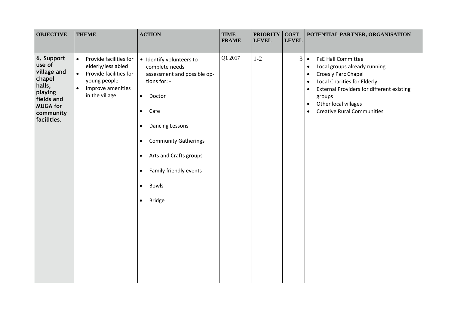| <b>OBJECTIVE</b>                                                                                                                | <b>THEME</b>                                                                                                                                                         | <b>ACTION</b>                                                                                                                                                                                                                                                                                                                                                     | <b>TIME</b><br><b>FRAME</b> | <b>PRIORITY</b><br><b>LEVEL</b> | <b>COST</b><br><b>LEVEL</b> | POTENTIAL PARTNER, ORGANISATION                                                                                                                                                                                                                                                                                                              |
|---------------------------------------------------------------------------------------------------------------------------------|----------------------------------------------------------------------------------------------------------------------------------------------------------------------|-------------------------------------------------------------------------------------------------------------------------------------------------------------------------------------------------------------------------------------------------------------------------------------------------------------------------------------------------------------------|-----------------------------|---------------------------------|-----------------------------|----------------------------------------------------------------------------------------------------------------------------------------------------------------------------------------------------------------------------------------------------------------------------------------------------------------------------------------------|
| 6. Support<br>use of<br>village and<br>chapel<br>halls,<br>playing<br>fields and<br><b>MUGA for</b><br>community<br>facilities. | Provide facilities for<br>$\bullet$<br>elderly/less abled<br>Provide facilities for<br>$\bullet$<br>young people<br>Improve amenities<br>$\bullet$<br>in the village | · Identify volunteers to<br>complete needs<br>assessment and possible op-<br>tions for: -<br>$\bullet$<br>Doctor<br>Cafe<br>$\bullet$<br><b>Dancing Lessons</b><br>$\bullet$<br><b>Community Gatherings</b><br>$\bullet$<br>Arts and Crafts groups<br>$\bullet$<br>Family friendly events<br>$\bullet$<br><b>Bowls</b><br>$\bullet$<br><b>Bridge</b><br>$\bullet$ | Q1 2017                     | $1-2$                           | $\mathfrak{Z}$              | <b>PsE Hall Committee</b><br>$\bullet$<br>Local groups already running<br>$\bullet$<br>Croes y Parc Chapel<br>$\bullet$<br><b>Local Charities for Elderly</b><br>$\bullet$<br><b>External Providers for different existing</b><br>$\bullet$<br>groups<br>Other local villages<br>$\bullet$<br><b>Creative Rural Communities</b><br>$\bullet$ |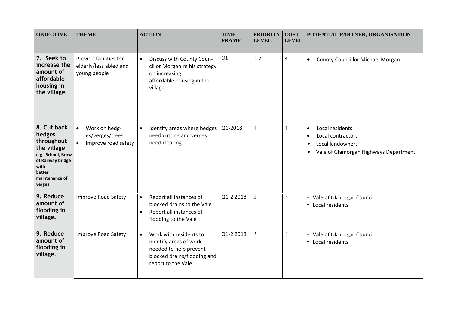| <b>OBJECTIVE</b>                                                                                                                            | <b>THEME</b>                                                                      | <b>ACTION</b>                                                                                                                                | <b>TIME</b><br><b>FRAME</b> | <b>PRIORITY</b><br><b>LEVEL</b> | <b>COST</b><br><b>LEVEL</b> | POTENTIAL PARTNER, ORGANISATION                                                                                                                       |
|---------------------------------------------------------------------------------------------------------------------------------------------|-----------------------------------------------------------------------------------|----------------------------------------------------------------------------------------------------------------------------------------------|-----------------------------|---------------------------------|-----------------------------|-------------------------------------------------------------------------------------------------------------------------------------------------------|
| 7. Seek to<br>increase the<br>amount of<br>affordable<br>housing in<br>the village.                                                         | Provide facilities for<br>elderly/less abled and<br>young people                  | Discuss with County Coun-<br>$\bullet$<br>cillor Morgan re his strategy<br>on increasing<br>affordable housing in the<br>village             | Q1                          | $1 - 2$                         | 3                           | <b>County Councillor Michael Morgan</b><br>$\bullet$                                                                                                  |
| 8. Cut back<br>hedges<br>throughout<br>the village<br>e.g. School, Brow<br>of Railway bridge<br>with<br>better<br>maintenance of<br>verges. | Work on hedg-<br>$\bullet$<br>es/verges/trees<br>Improve road safety<br>$\bullet$ | Identify areas where hedges<br>$\bullet$<br>need cutting and verges<br>need clearing.                                                        | Q1-2018                     | 1                               | -1                          | Local residents<br>$\bullet$<br>Local contractors<br>$\bullet$<br>Local landowners<br>$\bullet$<br>Vale of Glamorgan Highways Department<br>$\bullet$ |
| 9. Reduce<br>amount of<br>flooding in<br>village.                                                                                           | <b>Improve Road Safety</b>                                                        | Report all instances of<br>$\bullet$<br>blocked drains to the Vale<br>Report all instances of<br>$\bullet$<br>flooding to the Vale           | Q1-2 2018                   | $\overline{2}$                  | 3                           | • Vale of Glamorgan Council<br>• Local residents                                                                                                      |
| 9. Reduce<br>amount of<br>flooding in<br>village.                                                                                           | <b>Improve Road Safety</b>                                                        | Work with residents to<br>$\bullet$<br>identify areas of work<br>needed to help prevent<br>blocked drains/flooding and<br>report to the Vale | Q1-2 2018                   | 2                               | 3                           | • Vale of Glamorgan Council<br>• Local residents                                                                                                      |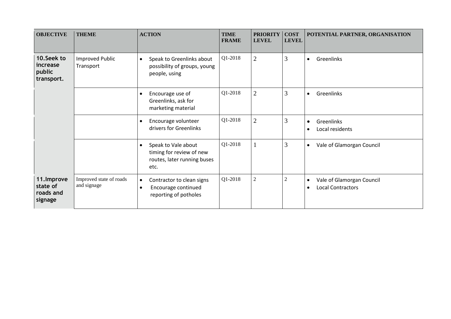| <b>OBJECTIVE</b>                                | <b>THEME</b>                           | <b>ACTION</b>                                                                                       | <b>TIME</b><br><b>FRAME</b> | <b>PRIORITY</b><br><b>LEVEL</b> | <b>COST</b><br><b>LEVEL</b> | POTENTIAL PARTNER, ORGANISATION                                                 |
|-------------------------------------------------|----------------------------------------|-----------------------------------------------------------------------------------------------------|-----------------------------|---------------------------------|-----------------------------|---------------------------------------------------------------------------------|
| 10.Seek to<br>increase<br>public<br>transport.  | <b>Improved Public</b><br>Transport    | Speak to Greenlinks about<br>$\bullet$<br>possibility of groups, young<br>people, using             | Q1-2018                     | $\overline{2}$                  | 3                           | Greenlinks<br>$\bullet$                                                         |
|                                                 |                                        | Encourage use of<br>$\bullet$<br>Greenlinks, ask for<br>marketing material                          | Q1-2018                     | $\overline{2}$                  | 3                           | Greenlinks<br>$\bullet$                                                         |
|                                                 |                                        | Encourage volunteer<br>$\bullet$<br>drivers for Greenlinks                                          | Q1-2018                     | $\overline{2}$                  | 3                           | Greenlinks<br>$\bullet$<br>Local residents<br>$\bullet$                         |
|                                                 |                                        | Speak to Vale about<br>$\bullet$<br>timing for review of new<br>routes, later running buses<br>etc. | Q1-2018                     |                                 | 3                           | Vale of Glamorgan Council<br>$\bullet$                                          |
| 11. Improve<br>state of<br>roads and<br>signage | Improved state of roads<br>and signage | Contractor to clean signs<br>$\bullet$<br>Encourage continued<br>$\bullet$<br>reporting of potholes | Q1-2018                     | $\overline{2}$                  | $\overline{2}$              | Vale of Glamorgan Council<br>$\bullet$<br><b>Local Contractors</b><br>$\bullet$ |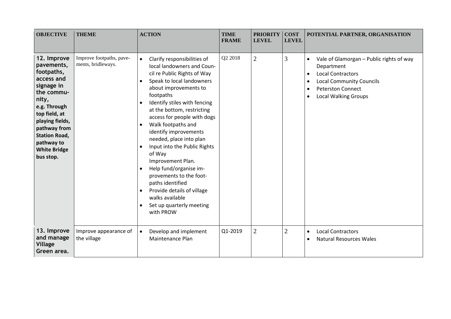| <b>OBJECTIVE</b>                                                                                                                                                                                                                         | <b>THEME</b>                                   | <b>ACTION</b>                                                                                                                                                                                                                                                                                                                                                                                                                                                                                                                                                                                               | <b>TIME</b><br><b>FRAME</b> | <b>PRIORITY</b><br><b>LEVEL</b> | <b>COST</b><br><b>LEVEL</b> | POTENTIAL PARTNER, ORGANISATION                                                                                                                                                               |
|------------------------------------------------------------------------------------------------------------------------------------------------------------------------------------------------------------------------------------------|------------------------------------------------|-------------------------------------------------------------------------------------------------------------------------------------------------------------------------------------------------------------------------------------------------------------------------------------------------------------------------------------------------------------------------------------------------------------------------------------------------------------------------------------------------------------------------------------------------------------------------------------------------------------|-----------------------------|---------------------------------|-----------------------------|-----------------------------------------------------------------------------------------------------------------------------------------------------------------------------------------------|
| 12. Improve<br>pavements,<br>footpaths,<br>access and<br>signage in<br>the commu-<br>nity,<br>e.g. Through<br>top field, at<br>playing fields,<br>pathway from<br><b>Station Road,</b><br>pathway to<br><b>White Bridge</b><br>bus stop. | Improve footpaths, pave-<br>ments, bridleways. | Clarify responsibilities of<br>$\bullet$<br>local landowners and Coun-<br>cil re Public Rights of Way<br>Speak to local landowners<br>about improvements to<br>footpaths<br>Identify stiles with fencing<br>at the bottom, restricting<br>access for people with dogs<br>Walk footpaths and<br>$\bullet$<br>identify improvements<br>needed, place into plan<br>Input into the Public Rights<br>$\bullet$<br>of Way<br>Improvement Plan.<br>Help fund/organise im-<br>provements to the foot-<br>paths identified<br>Provide details of village<br>walks available<br>Set up quarterly meeting<br>with PROW | Q2 2018                     | $\overline{2}$                  | 3                           | Vale of Glamorgan - Public rights of way<br>Department<br><b>Local Contractors</b><br>$\bullet$<br><b>Local Community Councils</b><br><b>Peterston Connect</b><br><b>Local Walking Groups</b> |
| 13. Improve<br>and manage<br><b>Village</b><br>Green area.                                                                                                                                                                               | Improve appearance of<br>the village           | Develop and implement<br>$\bullet$<br>Maintenance Plan                                                                                                                                                                                                                                                                                                                                                                                                                                                                                                                                                      | Q1-2019                     | $\overline{2}$                  | $\overline{2}$              | <b>Local Contractors</b><br>$\bullet$<br><b>Natural Resources Wales</b>                                                                                                                       |